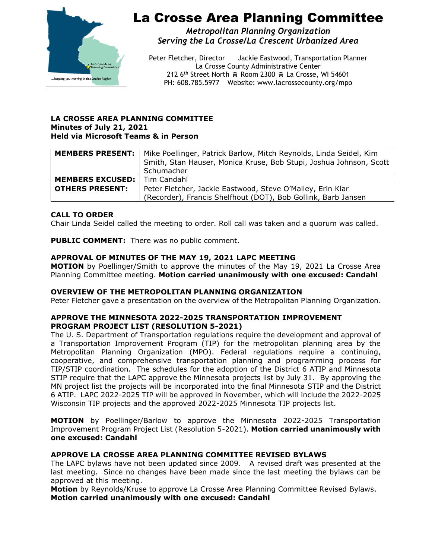

# La Crosse Area Planning Committee

*Metropolitan Planning Organization Serving the La Crosse/La Crescent Urbanized Area*

Peter Fletcher, Director Jackie Eastwood, Transportation Planner La Crosse County Administrative Center 212 6<sup>th</sup> Street North  $\oplus$  Room 2300  $\oplus$  La Crosse, WI 54601 PH: 608.785.5977 Website: www.lacrossecounty.org/mpo

#### **LA CROSSE AREA PLANNING COMMITTEE Minutes of July 21, 2021 Held via Microsoft Teams & in Person**

|                                       | <b>MEMBERS PRESENT:</b>   Mike Poellinger, Patrick Barlow, Mitch Reynolds, Linda Seidel, Kim<br>Smith, Stan Hauser, Monica Kruse, Bob Stupi, Joshua Johnson, Scott<br>Schumacher |
|---------------------------------------|----------------------------------------------------------------------------------------------------------------------------------------------------------------------------------|
|                                       |                                                                                                                                                                                  |
| <b>MEMBERS EXCUSED:</b>   Tim Candahl |                                                                                                                                                                                  |
| <b>OTHERS PRESENT:</b>                | Peter Fletcher, Jackie Eastwood, Steve O'Malley, Erin Klar                                                                                                                       |
|                                       | (Recorder), Francis Shelfhout (DOT), Bob Gollink, Barb Jansen                                                                                                                    |

# **CALL TO ORDER**

Chair Linda Seidel called the meeting to order. Roll call was taken and a quorum was called.

**PUBLIC COMMENT:** There was no public comment.

## **APPROVAL OF MINUTES OF THE MAY 19, 2021 LAPC MEETING**

**MOTION** by Poellinger/Smith to approve the minutes of the May 19, 2021 La Crosse Area Planning Committee meeting. **Motion carried unanimously with one excused: Candahl** 

### **OVERVIEW OF THE METROPOLITAN PLANNING ORGANIZATION**

Peter Fletcher gave a presentation on the overview of the Metropolitan Planning Organization.

### **APPROVE THE MINNESOTA 2022-2025 TRANSPORTATION IMPROVEMENT PROGRAM PROJECT LIST (RESOLUTION 5-2021)**

The U. S. Department of Transportation regulations require the development and approval of a Transportation Improvement Program (TIP) for the metropolitan planning area by the Metropolitan Planning Organization (MPO). Federal regulations require a continuing, cooperative, and comprehensive transportation planning and programming process for TIP/STIP coordination. The schedules for the adoption of the District 6 ATIP and Minnesota STIP require that the LAPC approve the Minnesota projects list by July 31. By approving the MN project list the projects will be incorporated into the final Minnesota STIP and the District 6 ATIP. LAPC 2022-2025 TIP will be approved in November, which will include the 2022-2025 Wisconsin TIP projects and the approved 2022-2025 Minnesota TIP projects list.

**MOTION** by Poellinger/Barlow to approve the Minnesota 2022-2025 Transportation Improvement Program Project List (Resolution 5-2021). **Motion carried unanimously with one excused: Candahl** 

## **APPROVE LA CROSSE AREA PLANNING COMMITTEE REVISED BYLAWS**

The LAPC bylaws have not been updated since 2009. A revised draft was presented at the last meeting. Since no changes have been made since the last meeting the bylaws can be approved at this meeting.

**Motion** by Reynolds/Kruse to approve La Crosse Area Planning Committee Revised Bylaws. **Motion carried unanimously with one excused: Candahl**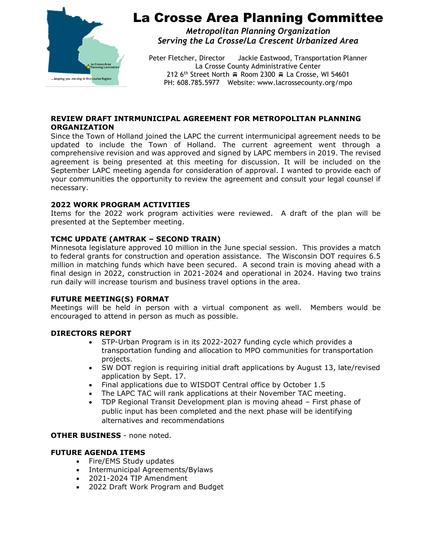

# La Crosse Area Planning Committee

*Metropolitan Planning Organization Serving the La Crosse/La Crescent Urbanized Area*

Peter Fletcher, Director Jackie Eastwood, Transportation Planner La Crosse County Administrative Center 212 6<sup>th</sup> Street North  $\oplus$  Room 2300  $\oplus$  La Crosse, WI 54601 PH: 608.785.5977 Website: www.lacrossecounty.org/mpo

## **REVIEW DRAFT INTRMUNICIPAL AGREEMENT FOR METROPOLITAN PLANNING ORGANIZATION**

Since the Town of Holland joined the LAPC the current intermunicipal agreement needs to be updated to include the Town of Holland. The current agreement went through a comprehensive revision and was approved and signed by LAPC members in 2019. The revised agreement is being presented at this meeting for discussion. It will be included on the September LAPC meeting agenda for consideration of approval. I wanted to provide each of your communities the opportunity to review the agreement and consult your legal counsel if necessary.

## **2022 WORK PROGRAM ACTIVITIES**

Items for the 2022 work program activities were reviewed. A draft of the plan will be presented at the September meeting.

## **TCMC UPDATE (AMTRAK – SECOND TRAIN)**

Minnesota legislature approved 10 million in the June special session. This provides a match to federal grants for construction and operation assistance. The Wisconsin DOT requires 6.5 million in matching funds which have been secured. A second train is moving ahead with a final design in 2022, construction in 2021-2024 and operational in 2024. Having two trains run daily will increase tourism and business travel options in the area.

### **FUTURE MEETING(S) FORMAT**

Meetings will be held in person with a virtual component as well. Members would be encouraged to attend in person as much as possible.

### **DIRECTORS REPORT**

- STP-Urban Program is in its 2022-2027 funding cycle which provides a transportation funding and allocation to MPO communities for transportation projects.
- SW DOT region is requiring initial draft applications by August 13, late/revised application by Sept. 17.
- Final applications due to WISDOT Central office by October 1.5
- The LAPC TAC will rank applications at their November TAC meeting.
- TDP Regional Transit Development plan is moving ahead First phase of public input has been completed and the next phase will be identifying alternatives and recommendations

### **OTHER BUSINESS** - none noted.

### **FUTURE AGENDA ITEMS**

- Fire/EMS Study updates
- Intermunicipal Agreements/Bylaws
- 2021-2024 TIP Amendment
- 2022 Draft Work Program and Budget